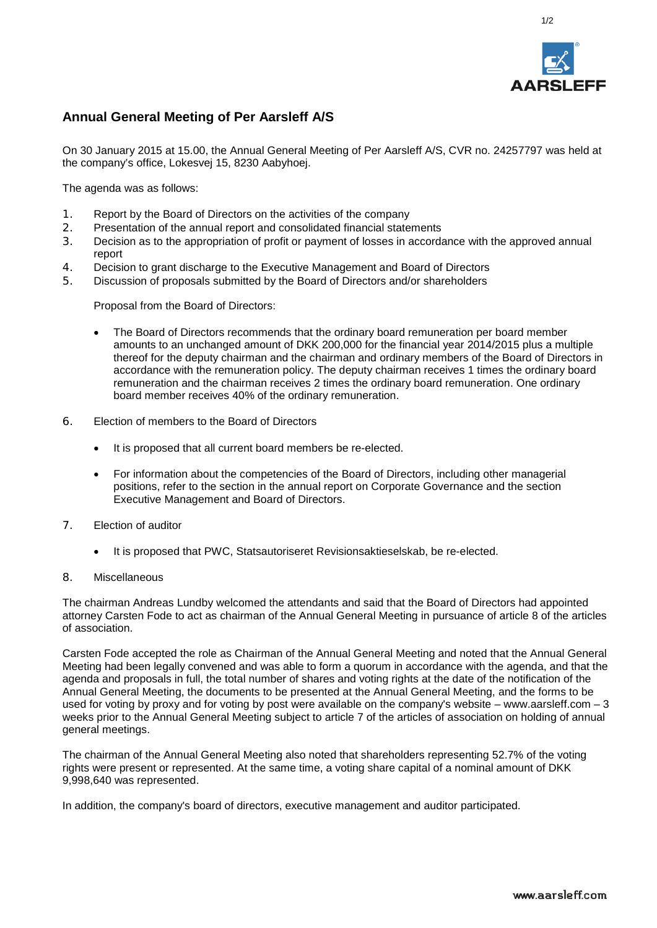

1/2

## **Annual General Meeting of Per Aarsleff A/S**

On 30 January 2015 at 15.00, the Annual General Meeting of Per Aarsleff A/S, CVR no. 24257797 was held at the company's office, Lokesvej 15, 8230 Aabyhoej.

The agenda was as follows:

- 1. Report by the Board of Directors on the activities of the company<br>2. Presentation of the annual report and consolidated financial state
- Presentation of the annual report and consolidated financial statements
- 3. Decision as to the appropriation of profit or payment of losses in accordance with the approved annual report
- 4. Decision to grant discharge to the Executive Management and Board of Directors
- 5. Discussion of proposals submitted by the Board of Directors and/or shareholders

Proposal from the Board of Directors:

- The Board of Directors recommends that the ordinary board remuneration per board member amounts to an unchanged amount of DKK 200,000 for the financial year 2014/2015 plus a multiple thereof for the deputy chairman and the chairman and ordinary members of the Board of Directors in accordance with the remuneration policy. The deputy chairman receives 1 times the ordinary board remuneration and the chairman receives 2 times the ordinary board remuneration. One ordinary board member receives 40% of the ordinary remuneration.
- 6. Election of members to the Board of Directors
	- It is proposed that all current board members be re-elected.
	- For information about the competencies of the Board of Directors, including other managerial positions, refer to the section in the annual report on Corporate Governance and the section Executive Management and Board of Directors.
- 7. Election of auditor
	- It is proposed that PWC, Statsautoriseret Revisionsaktieselskab, be re-elected.
- 8. Miscellaneous

The chairman Andreas Lundby welcomed the attendants and said that the Board of Directors had appointed attorney Carsten Fode to act as chairman of the Annual General Meeting in pursuance of article 8 of the articles of association.

Carsten Fode accepted the role as Chairman of the Annual General Meeting and noted that the Annual General Meeting had been legally convened and was able to form a quorum in accordance with the agenda, and that the agenda and proposals in full, the total number of shares and voting rights at the date of the notification of the Annual General Meeting, the documents to be presented at the Annual General Meeting, and the forms to be used for voting by proxy and for voting by post were available on the company's website – www.aarsleff.com – 3 weeks prior to the Annual General Meeting subject to article 7 of the articles of association on holding of annual general meetings.

The chairman of the Annual General Meeting also noted that shareholders representing 52.7% of the voting rights were present or represented. At the same time, a voting share capital of a nominal amount of DKK 9,998,640 was represented.

In addition, the company's board of directors, executive management and auditor participated.